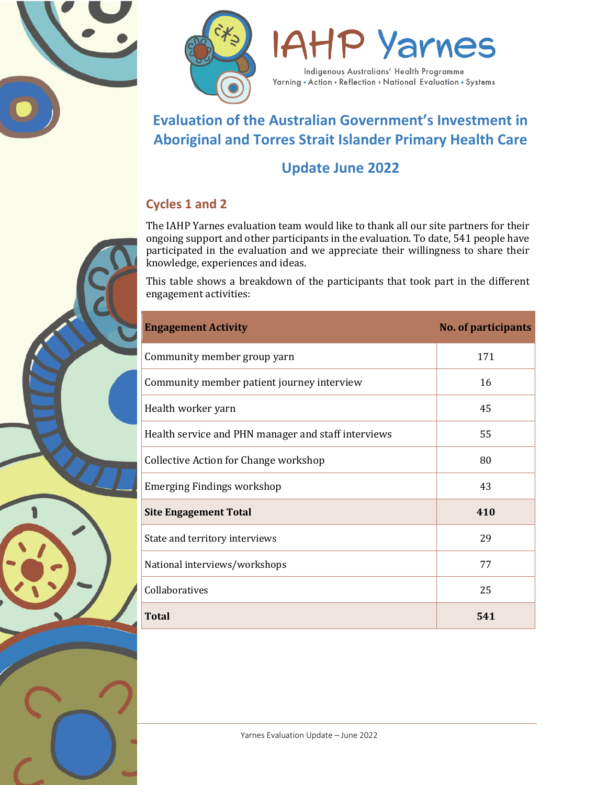





Yarning . Action . Reflection . National Evaluation . Systems

# **Evaluation of the Australian Government's Investment in Aboriginal and Torres Strait Islander Primary Health Care**

# **Update June 2022**

## **Cycles 1 and 2**

The IAHP Yarnes evaluation team would like to thank all our site partners for their ongoing support and other participants in the evaluation. To date, 541 people have participated in the evaluation and we appreciate their willingness to share their knowledge, experiences and ideas.

This table shows a breakdown of the participants that took part in the different engagement activities:

| <b>Engagement Activity</b>                          | <b>No. of participants</b> |
|-----------------------------------------------------|----------------------------|
| Community member group yarn                         | 171                        |
| Community member patient journey interview          | 16                         |
| Health worker yarn                                  | 45                         |
| Health service and PHN manager and staff interviews | 55                         |
| Collective Action for Change workshop               | 80                         |
| <b>Emerging Findings workshop</b>                   | 43                         |
| <b>Site Engagement Total</b>                        | 410                        |
| State and territory interviews                      | 29                         |
| National interviews/workshops                       | 77                         |
| Collaboratives                                      | 25                         |
| <b>Total</b>                                        | 541                        |

1 Yarnes Evaluation Update – June 2022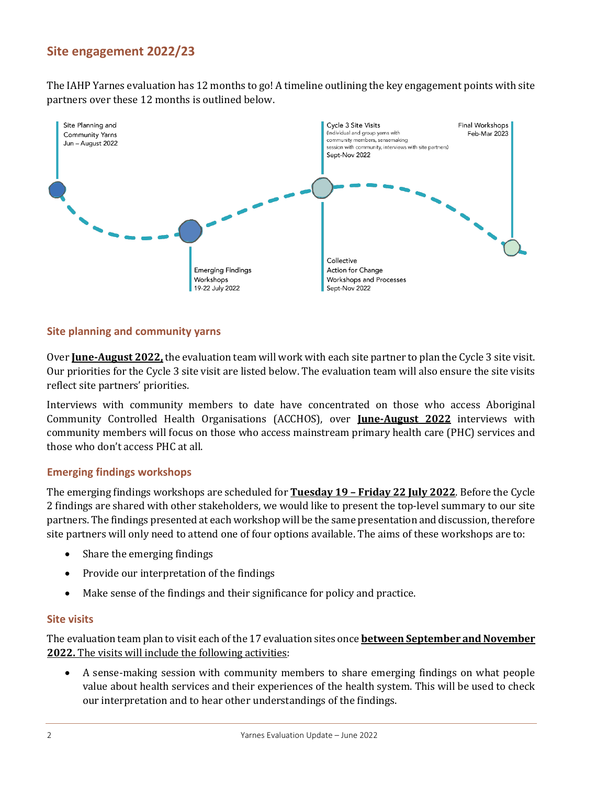## **Site engagement 2022/23**

The IAHP Yarnes evaluation has 12 months to go! A timeline outlining the key engagement points with site partners over these 12 months is outlined below.



#### **Site planning and community yarns**

Over **June-August 2022,** the evaluation team will work with each site partner to plan the Cycle 3 site visit. Our priorities for the Cycle 3 site visit are listed below. The evaluation team will also ensure the site visits reflect site partners' priorities.

Interviews with community members to date have concentrated on those who access Aboriginal Community Controlled Health Organisations (ACCHOS), over **June-August 2022** interviews with community members will focus on those who access mainstream primary health care (PHC) services and those who don't access PHC at all.

#### **Emerging findings workshops**

The emerging findings workshops are scheduled for **Tuesday 19 – Friday 22 July 2022**. Before the Cycle 2 findings are shared with other stakeholders, we would like to present the top-level summary to our site partners. The findings presented at each workshop will be the same presentation and discussion, therefore site partners will only need to attend one of four options available. The aims of these workshops are to:

- Share the emerging findings
- Provide our interpretation of the findings
- Make sense of the findings and their significance for policy and practice.

#### **Site visits**

The evaluation team plan to visit each of the 17 evaluation sites once **between September and November 2022.** The visits will include the following activities:

• A sense-making session with community members to share emerging findings on what people value about health services and their experiences of the health system. This will be used to check our interpretation and to hear other understandings of the findings.